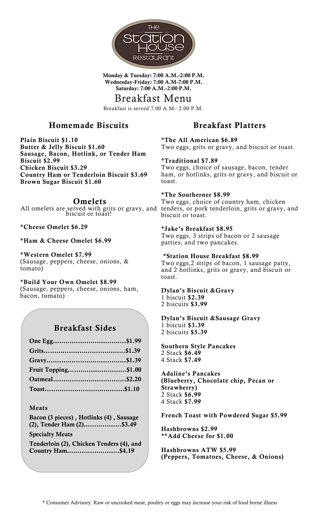

**Monday & Tuesday: 7:00 A.M.-2:00 P.M. Wednesday-Friday: 7:00 A.M-7:00 P.M. Saturday: 7:00 A.M.-2:00 P.M.**

## Breakfast Menu

Breakfast is served 7:00 A.M– 2:00 P.M.

## **Homemade Biscuits**

**Plain Biscuit \$1.10 Butter & Jelly Biscuit \$1.60 Sausage, Bacon, Hotlink, or Tender Ham Biscuit \$2.99 Chicken Biscuit \$3.29 Country Ham or Tenderloin Biscuit \$3.69 Brown Sugar Biscuit \$1.60**

# **Omelets**

All omelets are served with grits or gravy, and biscuit or toast!

#### **\*Cheese Omelet \$6.29**

#### **\*Ham & Cheese Omelet \$6.99**

**\*Western Omelet \$7.99** (Sausage, peppers, cheese, onions, & tomato)

**\*Build Your Own Omelet \$8.99** (Sausage, peppers, cheese, onions, ham, bacon, tomato)

## **Breakfast Sides**

| Fruit Topping\$1.00 |  |
|---------------------|--|
|                     |  |
|                     |  |

#### **Meats**

**Bacon (3 pieces) , Hotlinks (4) , Sausage (2), Tender Ham (2).…..………...\$3.49**

#### **Specialty Meats**

**Tenderloin (2), Chicken Tenders (4), and Country Ham….……………...…\$4.19**

## **Breakfast Platters**

**\*The All American \$6.89** Two eggs, grits or gravy, and biscuit or toast.

**\*Traditional \$7.89** Two eggs, choice of sausage, bacon, tender ham, or hotlinks, grits or gravy, and biscuit or toast.

#### **\*The Southerner \$8.99**

Two eggs, choice of country ham, chicken tenders, or pork tenderloin, grits or gravy, and biscuit or toast.

#### **\*Jake's Breakfast \$8.95**

Two eggs, 3 strips of bacon or 2 sausage patties, and two pancakes.

#### **\*Station House Breakfast \$8.99**

Two eggs,2 strips of bacon, 1 sausage patty, and 2 hotlinks, grits or gravy, and biscuit or toast.

# **Dylan's Biscuit &Gravy**

1 biscuit **\$2.39** 2 biscuits **\$3.99**

#### **Dylan's Biscuit &Sausage Gravy** 1 biscuit **\$3.39** 2 biscuits **\$5.39**

**Southern Style Pancakes** 2 Stack **\$6.49** 4 Stack **\$7.49**

**Adaline's Pancakes (Blueberry, Chocolate chip, Pecan or Strawberry)** 2 Stack **\$6.99** 4 Stack **\$7.99**

**French Toast with Powdered Sugar \$5.99**

**Hashbrowns \$2.99 \*\*Add Cheese for \$1.00**

**Hashbrowns ATW \$5.99 (Peppers, Tomatoes, Cheese, & Onions)**